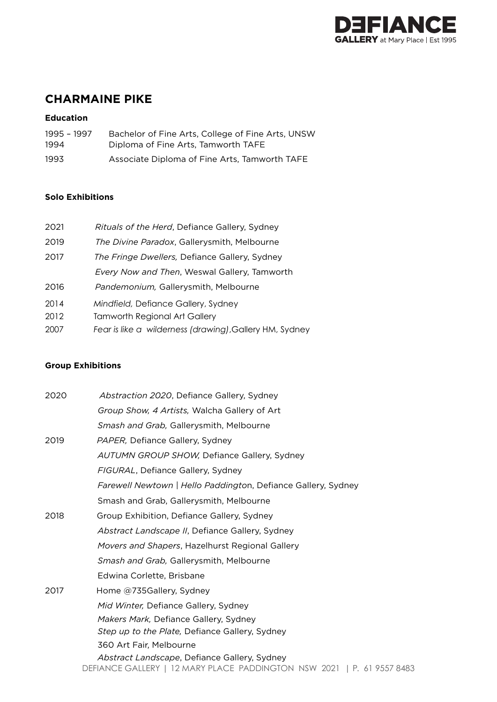

# **CHARMAINE PIKE**

# **Education**

| 1995 - 1997 | Bachelor of Fine Arts, College of Fine Arts, UNSW |
|-------------|---------------------------------------------------|
| 1994        | Diploma of Fine Arts. Tamworth TAFE               |
| 1993        | Associate Diploma of Fine Arts, Tamworth TAFE     |

# **Solo Exhibitions**

| 2021 | Rituals of the Herd, Defiance Gallery, Sydney |
|------|-----------------------------------------------|
| 2019 | The Divine Paradox, Gallerysmith, Melbourne   |
| 2017 | The Fringe Dwellers, Defiance Gallery, Sydney |
|      | Every Now and Then, Weswal Gallery, Tamworth  |

- 2016 *Pandemonium,* Gallerysmith, Melbourne
- 2014 *Mindfield,* Defiance Gallery, Sydney
- 2012 Tamworth Regional Art Gallery
- 2007 *Fear is like a wilderness (drawing)*,Gallery HM, Sydney

# **Group Exhibitions**

| 2020 | Abstraction 2020, Defiance Gallery, Sydney                                                                             |
|------|------------------------------------------------------------------------------------------------------------------------|
|      | Group Show, 4 Artists, Walcha Gallery of Art                                                                           |
|      | Smash and Grab, Gallerysmith, Melbourne                                                                                |
| 2019 | <i>PAPER</i> , Defiance Gallery, Sydney                                                                                |
|      | <b>AUTUMN GROUP SHOW, Defiance Gallery, Sydney</b>                                                                     |
|      | FIGURAL, Defiance Gallery, Sydney                                                                                      |
|      | <i>Farewell Newtown   Hello Paddington, Defiance Gallery, Sydney</i>                                                   |
|      | Smash and Grab, Gallerysmith, Melbourne                                                                                |
| 2018 | Group Exhibition, Defiance Gallery, Sydney                                                                             |
|      | Abstract Landscape II, Defiance Gallery, Sydney                                                                        |
|      | Movers and Shapers, Hazelhurst Regional Gallery                                                                        |
|      | Smash and Grab, Gallerysmith, Melbourne                                                                                |
|      | Edwina Corlette, Brisbane                                                                                              |
| 2017 | Home @735Gallery, Sydney                                                                                               |
|      | Mid Winter, Defiance Gallery, Sydney                                                                                   |
|      | Makers Mark, Defiance Gallery, Sydney                                                                                  |
|      | Step up to the Plate, Defiance Gallery, Sydney                                                                         |
|      | 360 Art Fair, Melbourne                                                                                                |
|      | Abstract Landscape, Defiance Gallery, Sydney<br>DEFIANCE GALLERY   12 MARY PLACE PADDINGTON NSW 2021   P. 61 9557 8483 |
|      |                                                                                                                        |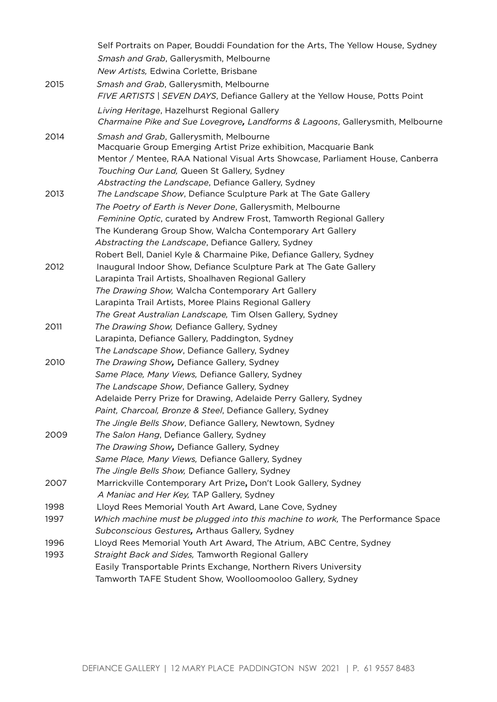|      | Self Portraits on Paper, Bouddi Foundation for the Arts, The Yellow House, Sydney                                  |
|------|--------------------------------------------------------------------------------------------------------------------|
|      | Smash and Grab, Gallerysmith, Melbourne                                                                            |
|      | New Artists, Edwina Corlette, Brisbane                                                                             |
| 2015 | Smash and Grab, Gallerysmith, Melbourne                                                                            |
|      | FIVE ARTISTS   SEVEN DAYS, Defiance Gallery at the Yellow House, Potts Point                                       |
|      | Living Heritage, Hazelhurst Regional Gallery                                                                       |
|      | Charmaine Pike and Sue Lovegrove, Landforms & Lagoons, Gallerysmith, Melbourne                                     |
| 2014 | Smash and Grab, Gallerysmith, Melbourne                                                                            |
|      | Macquarie Group Emerging Artist Prize exhibition, Macquarie Bank                                                   |
|      | Mentor / Mentee, RAA National Visual Arts Showcase, Parliament House, Canberra                                     |
|      | Touching Our Land, Queen St Gallery, Sydney                                                                        |
|      | Abstracting the Landscape, Defiance Gallery, Sydney                                                                |
| 2013 | The Landscape Show, Defiance Sculpture Park at The Gate Gallery                                                    |
|      | The Poetry of Earth is Never Done, Gallerysmith, Melbourne                                                         |
|      | Feminine Optic, curated by Andrew Frost, Tamworth Regional Gallery                                                 |
|      | The Kunderang Group Show, Walcha Contemporary Art Gallery                                                          |
|      | Abstracting the Landscape, Defiance Gallery, Sydney                                                                |
|      | Robert Bell, Daniel Kyle & Charmaine Pike, Defiance Gallery, Sydney                                                |
| 2012 | Inaugural Indoor Show, Defiance Sculpture Park at The Gate Gallery                                                 |
|      | Larapinta Trail Artists, Shoalhaven Regional Gallery                                                               |
|      | The Drawing Show, Walcha Contemporary Art Gallery                                                                  |
|      | Larapinta Trail Artists, Moree Plains Regional Gallery                                                             |
|      | The Great Australian Landscape, Tim Olsen Gallery, Sydney                                                          |
| 2011 | The Drawing Show, Defiance Gallery, Sydney                                                                         |
|      | Larapinta, Defiance Gallery, Paddington, Sydney                                                                    |
|      | The Landscape Show, Defiance Gallery, Sydney                                                                       |
| 2010 | The Drawing Show, Defiance Gallery, Sydney                                                                         |
|      | Same Place, Many Views, Defiance Gallery, Sydney                                                                   |
|      | The Landscape Show, Defiance Gallery, Sydney                                                                       |
|      | Adelaide Perry Prize for Drawing, Adelaide Perry Gallery, Sydney                                                   |
|      | Paint, Charcoal, Bronze & Steel, Defiance Gallery, Sydney                                                          |
|      | The Jingle Bells Show, Defiance Gallery, Newtown, Sydney                                                           |
| 2009 | The Salon Hang, Defiance Gallery, Sydney                                                                           |
|      | The Drawing Show, Defiance Gallery, Sydney                                                                         |
|      | Same Place, Many Views, Defiance Gallery, Sydney                                                                   |
| 2007 | The Jingle Bells Show, Defiance Gallery, Sydney<br>Marrickville Contemporary Art Prize, Don't Look Gallery, Sydney |
|      | A Maniac and Her Key, TAP Gallery, Sydney                                                                          |
| 1998 | Lloyd Rees Memorial Youth Art Award, Lane Cove, Sydney                                                             |
| 1997 | Which machine must be plugged into this machine to work, The Performance Space                                     |
|      | Subconscious Gestures, Arthaus Gallery, Sydney                                                                     |
| 1996 | Lloyd Rees Memorial Youth Art Award, The Atrium, ABC Centre, Sydney                                                |
| 1993 | Straight Back and Sides, Tamworth Regional Gallery                                                                 |
|      | Easily Transportable Prints Exchange, Northern Rivers University                                                   |
|      | Tamworth TAFE Student Show, Woolloomooloo Gallery, Sydney                                                          |
|      |                                                                                                                    |